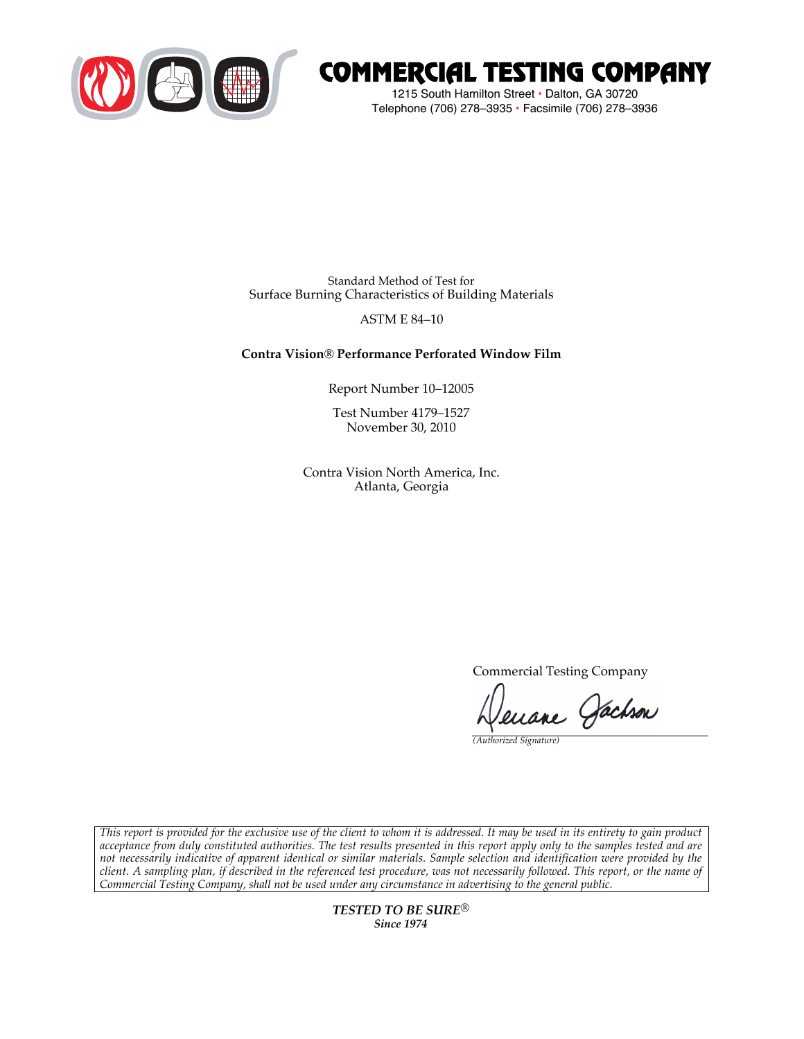

# COMMERCIAL TESTING COMPANY

1215 South Hamilton Street • Dalton, GA 30720 Telephone (706) 278–3935 **•** Facsimile (706) 278–3936

Standard Method of Test for Surface Burning Characteristics of Building Materials

### ASTM E 84–10

## **Contra Vision® Performance Perforated Window Film**

Report Number 10–12005

Test Number 4179–1527 November 30, 2010

Contra Vision North America, Inc. Atlanta, Georgia

Commercial Testing Company

uane Gachson

*(Authorized Signature)*

*This report is provided for the exclusive use of the client to whom it is addressed. It may be used in its entirety to gain product acceptance from duly constituted authorities. The test results presented in this report apply only to the samples tested and are not necessarily indicative of apparent identical or similar materials. Sample selection and identification were provided by the client. A sampling plan, if described in the referenced test procedure, was not necessarily followed. This report, or the name of Commercial Testing Company, shall not be used under any circumstance in advertising to the general public.*

> *TESTED TO BE SURE® Since 1974*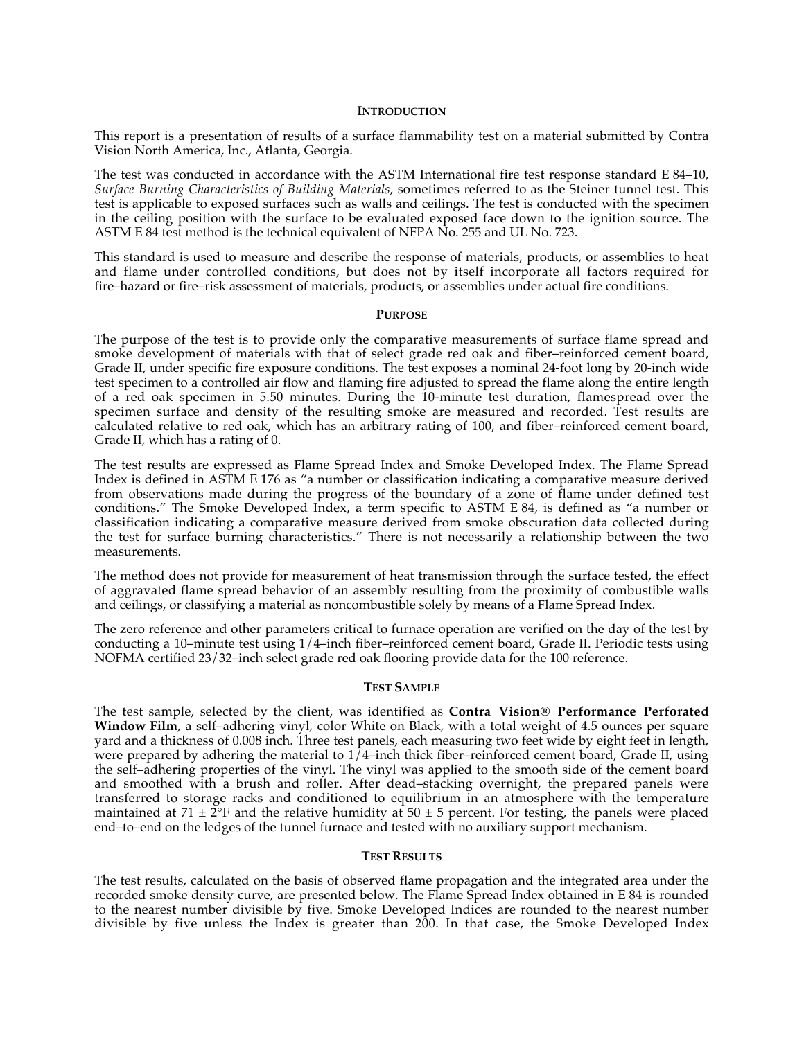#### **INTRODUCTION**

This report is a presentation of results of a surface flammability test on a material submitted by Contra Vision North America, Inc., Atlanta, Georgia.

The test was conducted in accordance with the ASTM International fire test response standard E 84–10, *Surface Burning Characteristics of Building Materials*, sometimes referred to as the Steiner tunnel test. This test is applicable to exposed surfaces such as walls and ceilings. The test is conducted with the specimen in the ceiling position with the surface to be evaluated exposed face down to the ignition source. The ASTM E 84 test method is the technical equivalent of NFPA No. 255 and UL No. 723.

This standard is used to measure and describe the response of materials, products, or assemblies to heat and flame under controlled conditions, but does not by itself incorporate all factors required for fire–hazard or fire–risk assessment of materials, products, or assemblies under actual fire conditions.

#### **PURPOSE**

The purpose of the test is to provide only the comparative measurements of surface flame spread and smoke development of materials with that of select grade red oak and fiber–reinforced cement board, Grade II, under specific fire exposure conditions. The test exposes a nominal 24-foot long by 20-inch wide test specimen to a controlled air flow and flaming fire adjusted to spread the flame along the entire length of a red oak specimen in 5.50 minutes. During the 10-minute test duration, flamespread over the specimen surface and density of the resulting smoke are measured and recorded. Test results are calculated relative to red oak, which has an arbitrary rating of 100, and fiber–reinforced cement board, Grade II, which has a rating of 0.

The test results are expressed as Flame Spread Index and Smoke Developed Index. The Flame Spread Index is defined in ASTM E 176 as "a number or classification indicating a comparative measure derived from observations made during the progress of the boundary of a zone of flame under defined test conditions." The Smoke Developed Index, a term specific to ASTM E 84, is defined as "a number or classification indicating a comparative measure derived from smoke obscuration data collected during the test for surface burning characteristics." There is not necessarily a relationship between the two measurements.

The method does not provide for measurement of heat transmission through the surface tested, the effect of aggravated flame spread behavior of an assembly resulting from the proximity of combustible walls and ceilings, or classifying a material as noncombustible solely by means of a Flame Spread Index.

The zero reference and other parameters critical to furnace operation are verified on the day of the test by conducting a 10–minute test using 1/4–inch fiber–reinforced cement board, Grade II. Periodic tests using NOFMA certified 23/32–inch select grade red oak flooring provide data for the 100 reference.

#### **TEST SAMPLE**

The test sample, selected by the client, was identified as **Contra Vision® Performance Perforated Window Film**, a self–adhering vinyl, color White on Black, with a total weight of 4.5 ounces per square yard and a thickness of 0.008 inch. Three test panels, each measuring two feet wide by eight feet in length, were prepared by adhering the material to  $1/4$ –inch thick fiber–reinforced cement board, Grade II, using the self–adhering properties of the vinyl. The vinyl was applied to the smooth side of the cement board and smoothed with a brush and roller. After dead-stacking overnight, the prepared panels were transferred to storage racks and conditioned to equilibrium in an atmosphere with the temperature maintained at 71  $\pm$  2°F and the relative humidity at 50  $\pm$  5 percent. For testing, the panels were placed end–to–end on the ledges of the tunnel furnace and tested with no auxiliary support mechanism.

#### **TEST RESULTS**

The test results, calculated on the basis of observed flame propagation and the integrated area under the recorded smoke density curve, are presented below. The Flame Spread Index obtained in E 84 is rounded to the nearest number divisible by five. Smoke Developed Indices are rounded to the nearest number divisible by five unless the Index is greater than 200. In that case, the Smoke Developed Index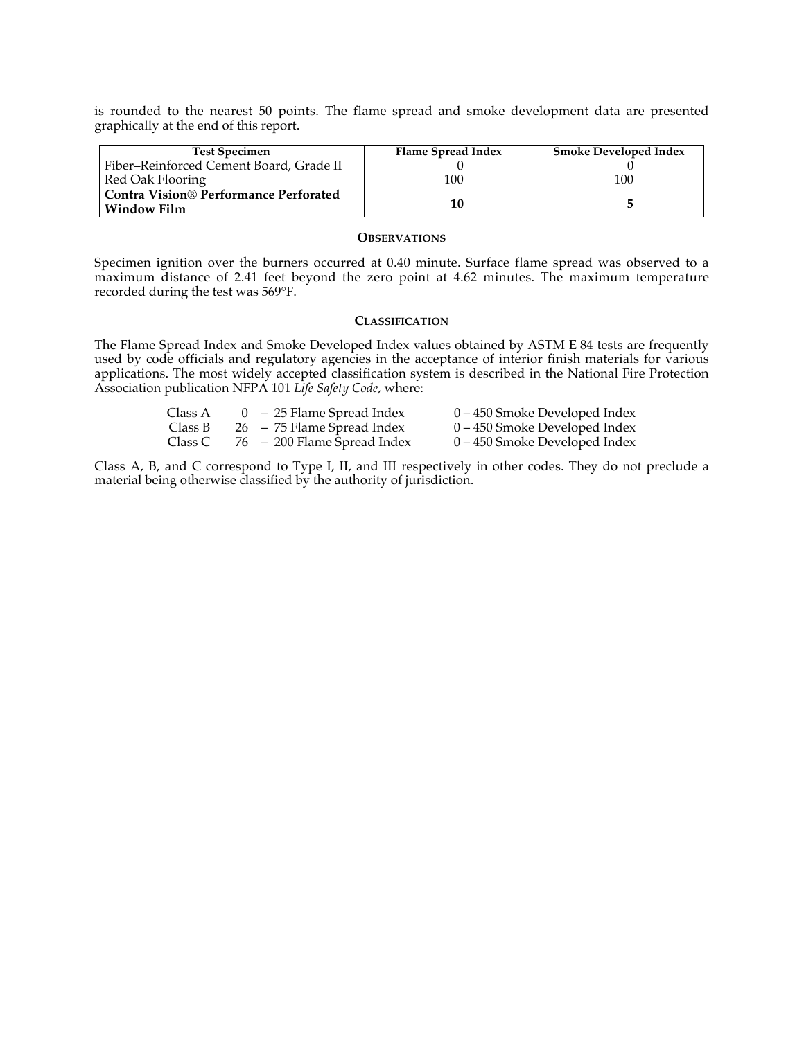is rounded to the nearest 50 points. The flame spread and smoke development data are presented graphically at the end of this report.

| <b>Test Specimen</b>                         | Flame Spread Index | <b>Smoke Developed Index</b> |
|----------------------------------------------|--------------------|------------------------------|
| Fiber-Reinforced Cement Board, Grade II      |                    |                              |
| Red Oak Flooring                             | 100                | 100                          |
| <b>Contra Vision® Performance Perforated</b> |                    |                              |
| <b>Window Film</b>                           | 10                 |                              |

#### **OBSERVATIONS**

Specimen ignition over the burners occurred at 0.40 minute. Surface flame spread was observed to a maximum distance of 2.41 feet beyond the zero point at 4.62 minutes. The maximum temperature recorded during the test was 569°F.

#### **CLASSIFICATION**

The Flame Spread Index and Smoke Developed Index values obtained by ASTM E 84 tests are frequently used by code officials and regulatory agencies in the acceptance of interior finish materials for various applications. The most widely accepted classification system is described in the National Fire Protection applications. Association publication NFPA 101 *Life Safety Code*, where:

| Class A | $0 - 25$ Flame Spread Index | 0 – 450 Smoke Developed Index |
|---------|-----------------------------|-------------------------------|
| Class B | 26 – 75 Flame Spread Index  | 0 – 450 Smoke Developed Index |
| Class C | 76 – 200 Flame Spread Index | 0 – 450 Smoke Developed Index |

Class A, B, and C correspond to Type I, II, and III respectively in other codes. They do not preclude a material being otherwise classified by the authority of jurisdiction.